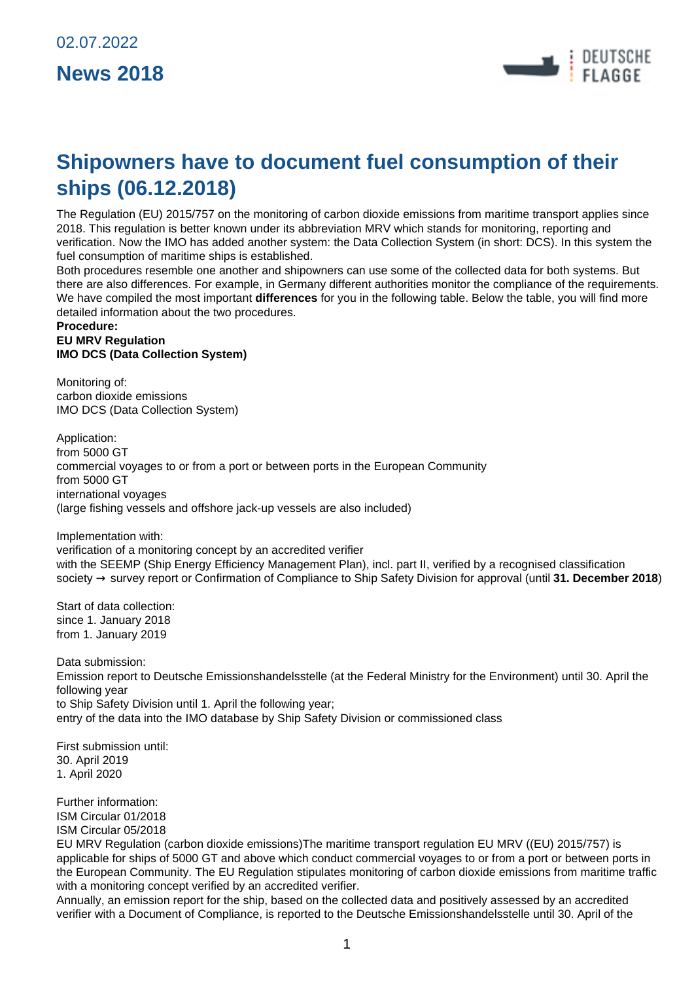

# **Shipowners have to document fuel consumption of their ships (06.12.2018)**

The [Regulation \(EU\) 2015/757](https://eur-lex.europa.eu/legal-content/EN/TXT/PDF/?uri=CELEX:32015R0757&qid=1544439443994&from=DE) on the monitoring of carbon dioxide emissions from maritime transport applies since 2018. This regulation is better known under its abbreviation MRV which stands for monitoring, reporting and verification. Now the IMO has added another system: the Data Collection System (in short: DCS). In this system the fuel consumption of maritime ships is established.

Both procedures resemble one another and shipowners can use some of the collected data for both systems. But there are also differences. For example, in Germany different authorities monitor the compliance of the requirements. We have compiled the most important **differences** for you in the following table. Below the table, you will find more detailed information about the two procedures.

#### **Procedure: EU MRV Regulation IMO DCS (Data Collection System)**

Monitoring of: carbon dioxide emissions IMO DCS (Data Collection System)

Application: from 5000 GT commercial voyages to or from a port or between ports in the European Community from 5000 GT international voyages (large fishing vessels and offshore jack-up vessels are also included)

Implementation with:

verification of a monitoring concept by an accredited verifier with the SEEMP (Ship Energy Efficiency Management Plan), incl. part II, verified by a recognised classification society → survey report or Confirmation of Compliance to Ship Safety Division for approval (until **31. December 2018**)

Start of data collection: since 1. January 2018 from 1. January 2019

Data submission: Emission report to [Deutsche Emissionshandelsstelle](https://www.dehst.de/EN/participating-as-an-operator/shipping-companies/shipping-companies-node.html) (at the [Federal Ministry for the Environment\)](https://www.umweltbundesamt.de/en) until 30. April the following year to Ship Safety Division until 1. April the following year; entry of the data into the IMO database by Ship Safety Division or commissioned class

First submission until: 30. April 2019 1. April 2020

Further information: [ISM Circular 01/2018](https://www.deutsche-flagge.de/en/safety-and-security/ism/circulars/2018/ism-circular-01-2018) [ISM Circular 05/2018](https://www.deutsche-flagge.de/en/safety-and-security/ism/circulars/2018/ism-circular-05-2018)

EU MRV Regulation (carbon dioxide emissions)The maritime transport regulation [EU MRV \(\(EU\) 2015/757\)](https://eur-lex.europa.eu/legal-content/EN/TXT/PDF/?uri=CELEX:32015R0757&qid=1544439443994&from=DE) is applicable for ships of 5000 GT and above which conduct commercial voyages to or from a port or between ports in the European Community. The EU Regulation stipulates monitoring of carbon dioxide emissions from maritime traffic with a monitoring concept verified by an accredited verifier.

Annually, an emission report for the ship, based on the collected data and positively assessed by an accredited verifier with a Document of Compliance, is reported to the [Deutsche Emissionshandelsstelle](https://www.dehst.de/EN/participating-as-an-operator/shipping-companies/shipping-companies-node.html) until 30. April of the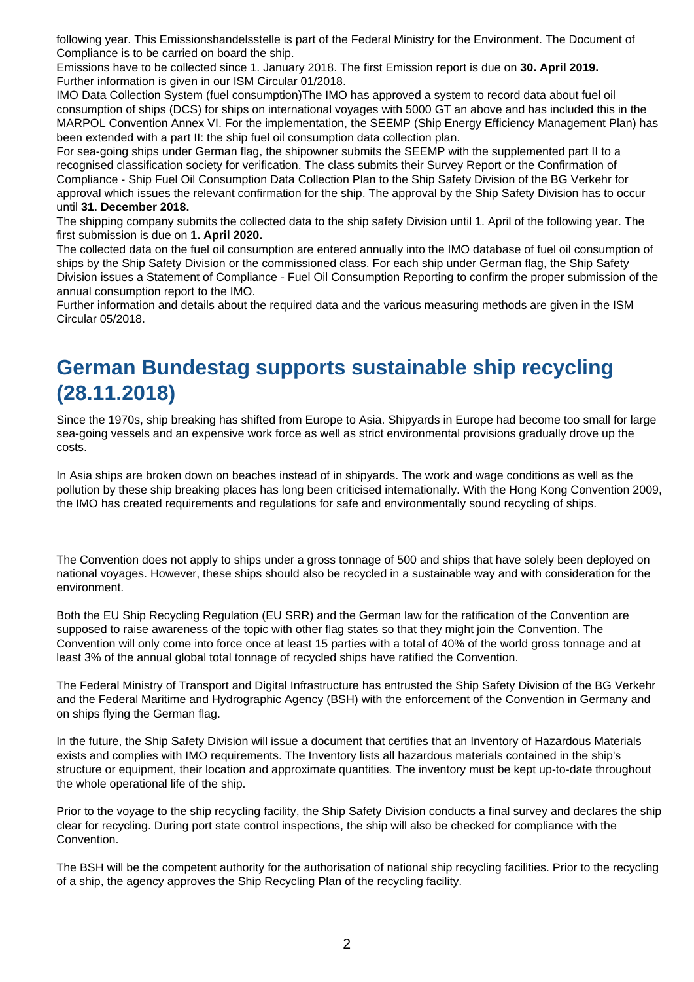following year. This Emissionshandelsstelle is part of the [Federal Ministry for the Environment.](https://www.umweltbundesamt.de/en) The Document of Compliance is to be carried on board the ship.

Emissions have to be collected since 1. January 2018. The first Emission report is due on **30. April 2019.** Further information is given in our [ISM Circular 01/2018](https://www.deutsche-flagge.de/en/safety-and-security/ism/circulars/2018/ism-circular-01-2018).

IMO Data Collection System (fuel consumption)The IMO has approved a system to record data about fuel oil consumption of ships (DCS) for ships on international voyages with 5000 GT an above and has included this in the MARPOL Convention Annex VI. For the implementation, the SEEMP (Ship Energy Efficiency Management Plan) has been extended with a part II: the ship fuel oil consumption data collection plan.

For sea-going ships under German flag, the shipowner submits the SEEMP with the supplemented part II to a recognised classification society for verification. The class submits their Survey Report or the Confirmation of Compliance - Ship Fuel Oil Consumption Data Collection Plan to the Ship Safety Division of the BG Verkehr for approval which issues the relevant confirmation for the ship. The approval by the Ship Safety Division has to occur until **31. December 2018.**

The shipping company submits the collected data to the ship safety Division until 1. April of the following year. The first submission is due on **1. April 2020.**

The collected data on the fuel oil consumption are entered annually into the IMO database of fuel oil consumption of ships by the Ship Safety Division or the commissioned class. For each ship under German flag, the Ship Safety Division issues a Statement of Compliance - Fuel Oil Consumption Reporting to confirm the proper submission of the annual consumption report to the IMO.

Further information and details about the required data and the various measuring methods are given in the [ISM](https://www.deutsche-flagge.de/en/safety-and-security/ism/circulars/2018/ism-circular-05-2018) [Circular 05/2018.](https://www.deutsche-flagge.de/en/safety-and-security/ism/circulars/2018/ism-circular-05-2018)

### **German Bundestag supports sustainable ship recycling (28.11.2018)**

Since the 1970s, ship breaking has shifted from Europe to Asia. Shipyards in Europe had become too small for large sea-going vessels and an expensive work force as well as strict environmental provisions gradually drove up the costs.

In Asia ships are broken down on beaches instead of in shipyards. The work and wage conditions as well as the pollution by these ship breaking places has long been criticised internationally. With the Hong Kong Convention 2009, the IMO has created requirements and regulations for safe and environmentally sound recycling of ships.

The Convention does not apply to ships under a gross tonnage of 500 and ships that have solely been deployed on national voyages. However, these ships should also be recycled in a sustainable way and with consideration for the environment.

Both the EU Ship Recycling Regulation (EU SRR) and the German law for the ratification of the Convention are supposed to raise awareness of the topic with other flag states so that they might join the Convention. The Convention will only come into force once at least 15 parties with a total of 40% of the world gross tonnage and at least 3% of the annual global total tonnage of recycled ships have ratified the Convention.

The Federal Ministry of Transport and Digital Infrastructure has entrusted the Ship Safety Division of the BG Verkehr and the Federal Maritime and Hydrographic Agency (BSH) with the enforcement of the Convention in Germany and on ships flying the German flag.

In the future, the Ship Safety Division will issue a document that certifies that an Inventory of Hazardous Materials exists and complies with IMO requirements. The Inventory lists all hazardous materials contained in the ship's structure or equipment, their location and approximate quantities. The inventory must be kept up-to-date throughout the whole operational life of the ship.

Prior to the voyage to the ship recycling facility, the Ship Safety Division conducts a final survey and declares the ship clear for recycling. During port state control inspections, the ship will also be checked for compliance with the Convention.

The BSH will be the competent authority for the authorisation of national ship recycling facilities. Prior to the recycling of a ship, the agency approves the Ship Recycling Plan of the recycling facility.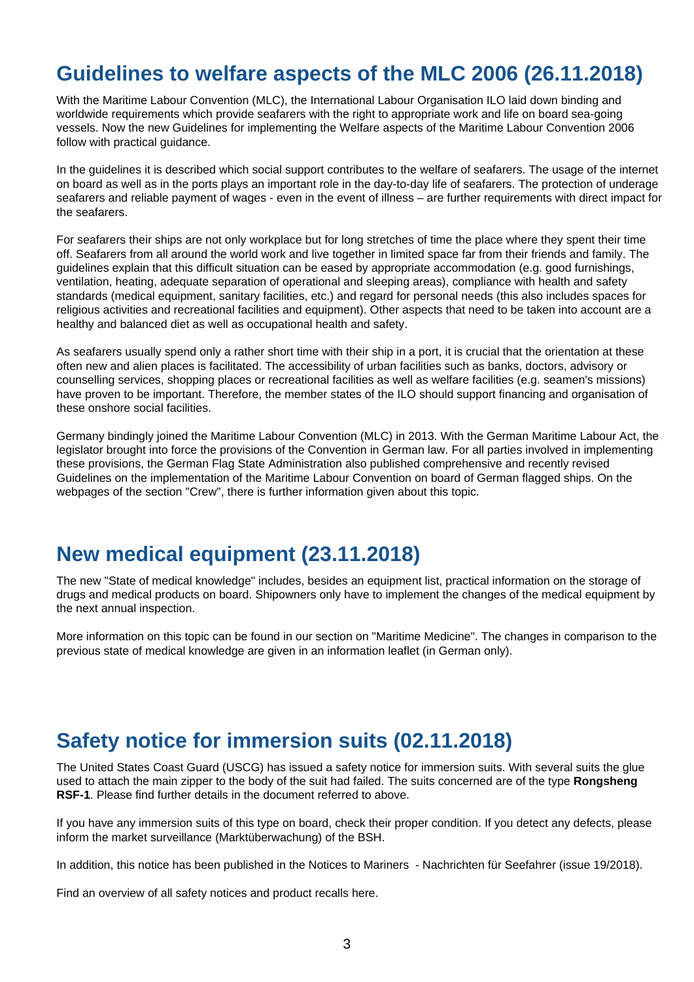### **Guidelines to welfare aspects of the MLC 2006 (26.11.2018)**

With the Maritime Labour Convention (MLC), the International Labour Organisation ILO laid down binding and worldwide requirements which provide seafarers with the right to appropriate work and life on board sea-going vessels. Now the new [Guidelines for implementing the Welfare aspects of the Maritime Labour Convention 2006](https://www.deutsche-flagge.de/de/redaktion/dokumente/dokumente-sonstige/welfare-guide.pdf) follow with practical guidance.

In the guidelines it is described which social support contributes to the welfare of seafarers. The usage of the internet on board as well as in the ports plays an important role in the day-to-day life of seafarers. The protection of underage seafarers and reliable payment of wages - even in the event of illness – are further requirements with direct impact for the seafarers.

For seafarers their ships are not only workplace but for long stretches of time the place where they spent their time off. Seafarers from all around the world work and live together in limited space far from their friends and family. The guidelines explain that this difficult situation can be eased by appropriate accommodation (e.g. good furnishings, ventilation, heating, adequate separation of operational and sleeping areas), compliance with health and safety standards (medical equipment, sanitary facilities, etc.) and regard for personal needs (this also includes spaces for religious activities and recreational facilities and equipment). Other aspects that need to be taken into account are a healthy and balanced diet as well as occupational health and safety.

As seafarers usually spend only a rather short time with their ship in a port, it is crucial that the orientation at these often new and alien places is facilitated. The accessibility of urban facilities such as banks, doctors, advisory or counselling services, shopping places or recreational facilities as well as welfare facilities (e.g. seamen's missions) have proven to be important. Therefore, the member states of the ILO should support financing and organisation of these onshore social facilities.

Germany bindingly joined the [Maritime Labour Convention \(MLC\)](https://www.deutsche-flagge.de/de/redaktion/dokumente/dokumente-sonstige/mlc_english.pdf) in 2013. With the German Maritime Labour Act, the legislator brought into force the provisions of the Convention in German law. For all parties involved in implementing these provisions, the German Flag State Administration also published comprehensive and recently revised [Guidelines on the implementation of the Maritime Labour Convention on board of German flagged ships](https://www.deutsche-flagge.de/de/redaktion/dokumente/dokumente-dienststelle/mlc-guideline.pdf). On the webpages of the section "[Crew](https://www.deutsche-flagge.de/en/crew)", there is further information given about this topic.

### **New medical equipment (23.11.2018)**

The new ["State of medical knowledge](https://www.deutsche-flagge.de/de/redaktion/dokumente/dokumente-sonstige/state-of-medical-knowledge)" includes, besides an equipment list, practical information on the storage of drugs and medical products on board. Shipowners only have to implement the changes of the medical equipment by the next annual inspection.

More information on this topic can be found in our section on "[Maritime Medicine"](https://www.deutsche-flagge.de/en/maritime-medicine/equipment-spaces). The changes in comparison to the previous state of medical knowledge are given in an [information leaflet](https://www.deutsche-flagge.de/de/redaktion/dokumente/dokumente-sonstige/notes-medical-knowledge.pdf) (in German only).

# **Safety notice for immersion suits (02.11.2018)**

The United States Coast Guard (USCG) has issued a [safety notice for immersion suits.](https://www.deutsche-flagge.de/de/redaktion/dokumente/dokumente-bsh/uscg_safety_alert_03-18.pdf) With several suits the glue used to attach the main zipper to the body of the suit had failed. The suits concerned are of the type **Rongsheng RSF-1**. Please find further details in the document referred to above.

If you have any immersion suits of this type on board, check their proper condition. If you detect any defects, please inform the market surveillance (Marktüberwachung) of the BSH.

In addition, this notice has been published in the Notices to Mariners - Nachrichten für Seefahrer (issue 19/2018).

Find an overview of all [safety notices and product recalls](https://www.bsh.de/DE/THEMEN/Schifffahrt/Schiffsausruestung_Marktueberwachung/Marktueberwachung/Sicherheitshinweise/Sicherheitshinweise_node.html) here.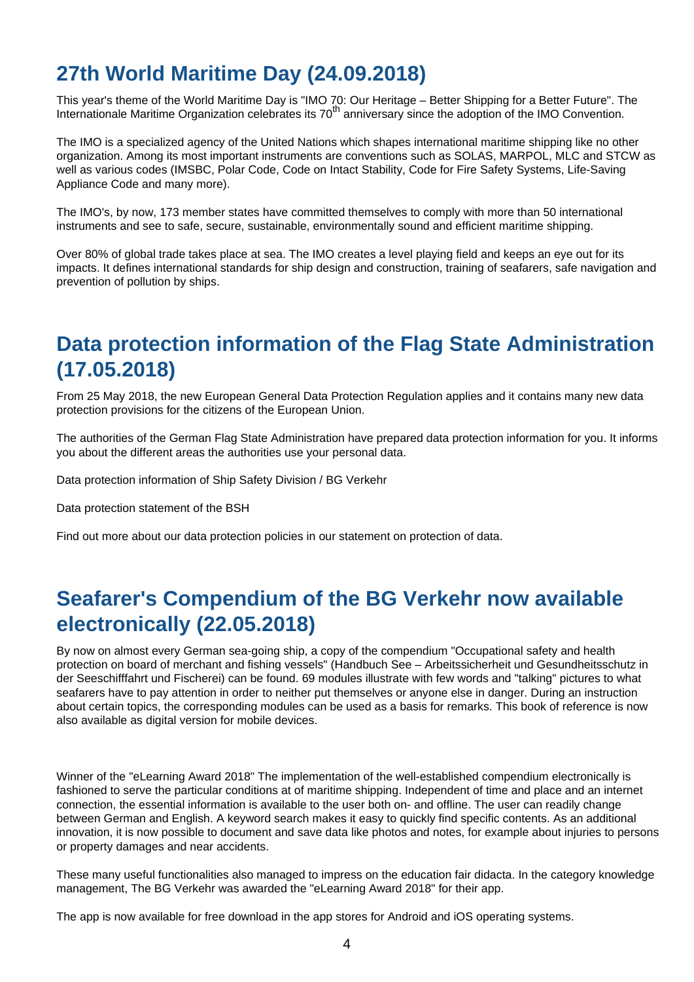# **27th World Maritime Day (24.09.2018)**

This year's theme of the World Maritime Day is "IMO 70: Our Heritage – Better Shipping for a Better Future". The Internationale Maritime Organization celebrates its  $70<sup>th</sup>$  anniversary since the adoption of the IMO Convention.

The IMO is a specialized agency of the United Nations which shapes international maritime shipping like no other organization. Among its most important instruments are conventions such as SOLAS, MARPOL, MLC and STCW as well as various codes (IMSBC, Polar Code, Code on Intact Stability, Code for Fire Safety Systems, Life-Saving Appliance Code and many more).

The IMO's, by now, 173 member states have committed themselves to comply with more than 50 international instruments and see to safe, secure, sustainable, environmentally sound and efficient maritime shipping.

Over 80% of global trade takes place at sea. The IMO creates a level playing field and keeps an eye out for its impacts. It defines international standards for ship design and construction, training of seafarers, safe navigation and prevention of pollution by ships.

# **Data protection information of the Flag State Administration (17.05.2018)**

From 25 May 2018, the new European General Data Protection Regulation applies and it contains many new data protection provisions for the citizens of the European Union.

The authorities of the German Flag State Administration have prepared data protection information for you. It informs you about the different areas the authorities use your personal data.

[Data protection information of Ship Safety Division / BG Verkehr](https://www.deutsche-flagge.de/en/data-protection-information)

[Data protection statement of the BSH](https://www.deutsche-flagge.de/de/redaktion/dokumente/dokumente-bsh/bsh_allg_ds-erklaerung.pdf)

Find out more about our data protection policies in our [statement on protection of data.](https://www.deutsche-flagge.de/en/data-protection)

### **Seafarer's Compendium of the BG Verkehr now available electronically (22.05.2018)**

By now on almost every German sea-going ship, a copy of the compendium "Occupational safety and health protection on board of merchant and fishing vessels" (Handbuch See – Arbeitssicherheit und Gesundheitsschutz in der Seeschifffahrt und Fischerei) can be found. 69 modules illustrate with few words and "talking" pictures to what seafarers have to pay attention in order to neither put themselves or anyone else in danger. During an instruction about certain topics, the corresponding modules can be used as a basis for remarks. This book of reference is now also available as digital version for mobile devices.

Winner of the "eLearning Award 2018" The implementation of the well-established compendium electronically is fashioned to serve the particular conditions at of maritime shipping. Independent of time and place and an internet connection, the essential information is available to the user both on- and offline. The user can readily change between German and English. A keyword search makes it easy to quickly find specific contents. As an additional innovation, it is now possible to document and save data like photos and notes, for example about injuries to persons or property damages and near accidents.

These many useful functionalities also managed to impress on the education fair didacta. In the category knowledge management, The BG Verkehr was awarded the "eLearning Award 2018" for their app.

The app is now available for free download in the app stores for Android and iOS operating systems.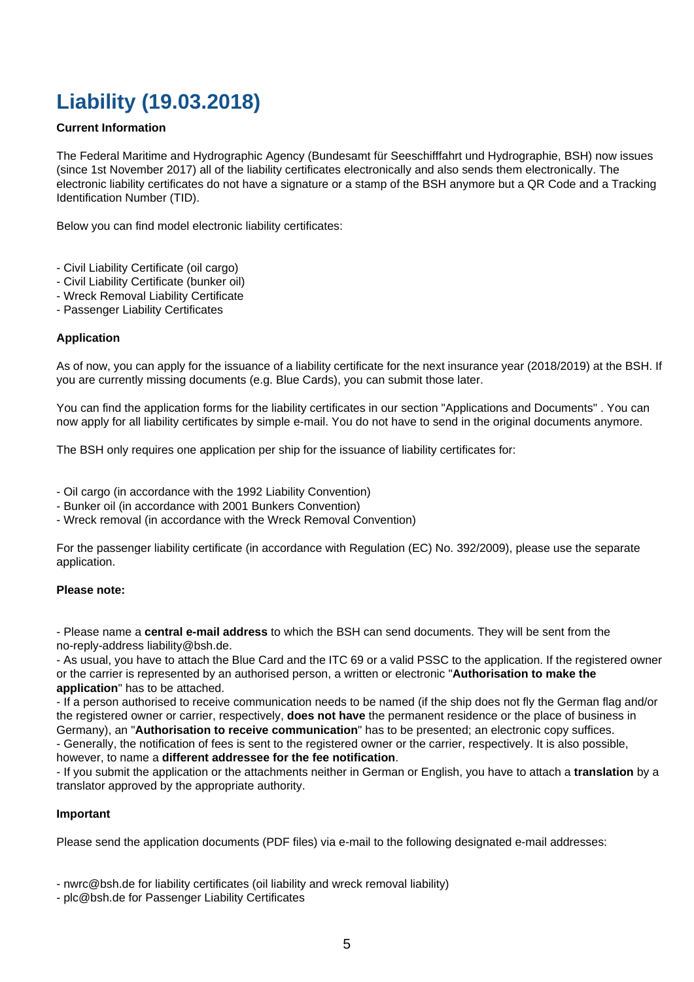# **Liability (19.03.2018)**

### **Current Information**

The Federal Maritime and Hydrographic Agency (Bundesamt für Seeschifffahrt und Hydrographie, BSH) now issues (since 1st November 2017) all of the liability certificates electronically and also sends them electronically. The electronic liability certificates do not have a signature or a stamp of the BSH anymore but a QR Code and a Tracking Identification Number (TID).

Below you can find model electronic liability certificates:

- [Civil Liability Certificate \(oil cargo\)](https://www.deutsche-flagge.de/de/redaktion/dokumente/dokumente-bsh/clc-_zertifikat_certificate.pdf)
- [Civil Liability Certificate \(bunker oil\)](https://www.deutsche-flagge.de/de/redaktion/dokumente/dokumente-bsh/bc_zertifikat_certificate.pdf)
- [Wreck Removal Liability Certificate](https://www.deutsche-flagge.de/de/redaktion/dokumente/dokumente-bsh/nwrc_zertifikat_certificate.pdf)
- [Passenger Liability Certificates](https://www.deutsche-flagge.de/de/redaktion/dokumente/dokumente-bsh/plc_zertifikat_certificate.pdf)

### **Application**

As of now, you can apply for the issuance of a liability certificate for the next insurance year (2018/2019) at the BSH. If you are currently missing documents (e.g. Blue Cards), you can submit those later.

You can find the application forms for the liability certificates in our section ["Applications and Documents"](https://www.deutsche-flagge.de/en/applications-and-documents/applications) . You can now apply for all liability certificates by simple e-mail. You do not have to send in the original documents anymore.

The BSH only requires one application per ship for the issuance of liability certificates for:

- Oil cargo (in accordance with the 1992 Liability Convention)

- Bunker oil (in accordance with 2001 Bunkers Convention)

- Wreck removal (in accordance with the Wreck Removal Convention)

For the passenger liability certificate (in accordance with Regulation (EC) No. 392/2009), please use the separate application.

### **Please note:**

- Please name a **central e-mail address** to which the BSH can send documents. They will be sent from the no-reply-address liability@bsh.de.

- As usual, you have to attach the Blue Card and the ITC 69 or a valid PSSC to the application. If the registered owner or the carrier is represented by an authorised person, a written or electronic "**Authorisation to make the application**" has to be attached.

- If a person authorised to receive communication needs to be named (if the ship does not fly the German flag and/or the registered owner or carrier, respectively, **does not have** the permanent residence or the place of business in Germany), an "**Authorisation to receive communication**" has to be presented; an electronic copy suffices.

- Generally, the notification of fees is sent to the registered owner or the carrier, respectively. It is also possible, however, to name a **different addressee for the fee notification**.

- If you submit the application or the attachments neither in German or English, you have to attach a **translation** by a translator approved by the appropriate authority.

#### **Important**

Please send the application documents (PDF files) via e-mail to the following designated e-mail addresses:

- [nwrc@bsh.de](mailto:nwrc@bsh.de) for liability certificates (oil liability and wreck removal liability)

- [plc@bsh.de](mailto:plc@bsh.de) for Passenger Liability Certificates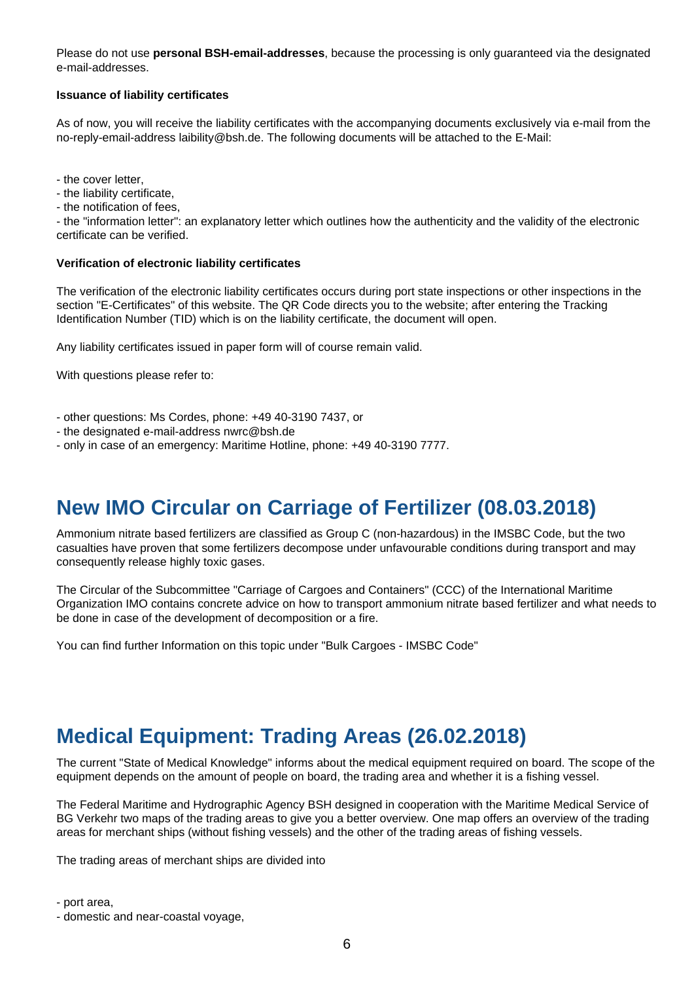Please do not use **personal BSH-email-addresses**, because the processing is only guaranteed via the designated e-mail-addresses.

### **Issuance of liability certificates**

As of now, you will receive the liability certificates with the accompanying documents exclusively via e-mail from the no-reply-email-address laibility@bsh.de. The following documents will be attached to the E-Mail:

- the cover letter,

- the liability certificate,

- the notification of fees,

- the "[information letter":](https://www.deutsche-flagge.de/de/redaktion/dokumente/dokumente-sonstige/informationletter.pdf) an explanatory letter which outlines how the authenticity and the validity of the electronic certificate can be verified.

#### **Verification of electronic liability certificates**

The verification of the electronic liability certificates occurs during port state inspections or other inspections in the section "[E-Certificates"](https://www.deutsche-flagge.de/certificates-verification/e-certificates) of this website. The QR Code directs you to the website; after entering the Tracking Identification Number (TID) which is on the liability certificate, the document will open.

Any liability certificates issued in paper form will of course remain valid.

With questions please refer to:

- other questions: Ms Cordes, phone: +49 40-3190 7437, or
- the designated e-mail-address [nwrc@bsh.de](mailto:nwrc@bsh.de)
- only in case of an emergency: Maritime Hotline, phone: +49 40-3190 7777.

### **New IMO Circular on Carriage of Fertilizer (08.03.2018)**

Ammonium nitrate based fertilizers are classified as Group C (non-hazardous) in the IMSBC Code, but the two casualties have proven that some fertilizers decompose under unfavourable conditions during transport and may consequently release highly toxic gases.

The [Circular](https://www.deutsche-flagge.de/de/redaktion/dokumente/dokumente-sonstige/ccc-1-circ-4-ammonium-nitrate.pdf) of the Subcommittee "Carriage of Cargoes and Containers" (CCC) of the International Maritime Organization IMO contains concrete advice on how to transport ammonium nitrate based fertilizer and what needs to be done in case of the development of decomposition or a fire.

You can find further Information on this topic under ["Bulk Cargoes - IMSBC Code"](https://www.deutsche-flagge.de/en/safety-and-security/cargo/imsbc)

### **Medical Equipment: Trading Areas (26.02.2018)**

The current "[State of Medical Knowledge"](https://www.deutsche-flagge.de/de/redaktion/dokumente/dokumente-sonstige/state-of-medical-knowledge) informs about the medical equipment required on board. The scope of the equipment depends on the amount of people on board, the trading area and whether it is a fishing vessel.

The Federal Maritime and Hydrographic Agency BSH designed in cooperation with the Maritime Medical Service of BG Verkehr two maps of the trading areas to give you a better overview. One map offers an overview of the [trading](https://www.deutsche-flagge.de/de/redaktion/dokumente/dokumente-dienststelle/fahrtgebiete_englisch.pdf) [areas for merchant ships](https://www.deutsche-flagge.de/de/redaktion/dokumente/dokumente-dienststelle/fahrtgebiete_englisch.pdf) (without fishing vessels) and the other of the [trading areas of fishing vessels](https://www.deutsche-flagge.de/de/redaktion/dokumente/dokumente-dienststelle/fahrtgebiete_fischerei_englisch_grun.pdf).

The trading areas of merchant ships are divided into

- port area,

<sup>-</sup> domestic and near-coastal voyage,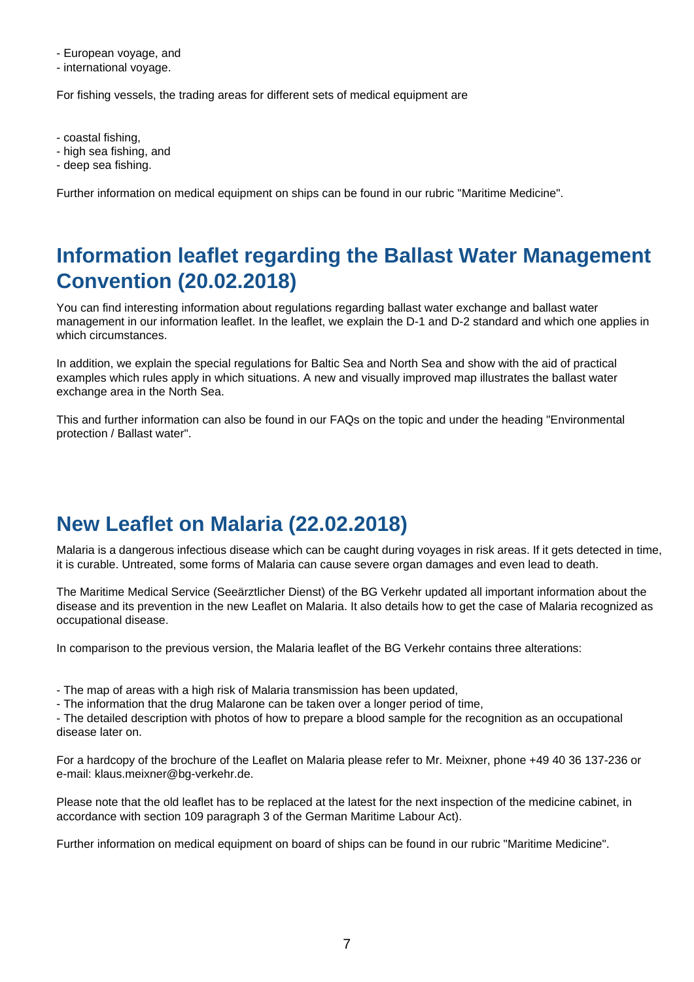- European voyage, and

- international voyage.

For fishing vessels, the trading areas for different sets of medical equipment are

- coastal fishing,

- high sea fishing, and
- deep sea fishing.

Further information on medical equipment on ships can be found in our rubric ["Maritime Medicine](https://www.deutsche-flagge.de/en/maritime-medicine/equipment-spaces)".

# **Information leaflet regarding the Ballast Water Management Convention (20.02.2018)**

You can find interesting information about regulations regarding ballast water exchange and ballast water management in our [information leaflet](https://www.deutsche-flagge.de/de/redaktion/dokumente/dokumente-bsh/info_ballastw-convention.pdf). In the leaflet, we explain the D-1 and D-2 standard and which one applies in which circumstances.

In addition, we explain the special regulations for Baltic Sea and North Sea and show with the aid of practical examples which rules apply in which situations. A new and [visually improved map](https://www.deutsche-flagge.de/de/redaktion/dokumente/dokumente-bsh/map_exchange_area.pdf) illustrates the ballast water exchange area in the North Sea.

This and further information can also be found in our [FAQs on the topic](https://www.deutsche-flagge.de/en/faqen/environmental-protection) and under the heading ["Environmental](https://www.deutsche-flagge.de/en/environmental-protection/ballast-water) [protection / Ballast water](https://www.deutsche-flagge.de/en/environmental-protection/ballast-water)".

# **New Leaflet on Malaria (22.02.2018)**

Malaria is a dangerous infectious disease which can be caught during voyages in risk areas. If it gets detected in time, it is curable. Untreated, some forms of Malaria can cause severe organ damages and even lead to death.

The Maritime Medical Service (Seeärztlicher Dienst) of the BG Verkehr updated all important information about the disease and its prevention in the new [Leaflet on Malaria](https://www.deutsche-flagge.de/de/redaktion/dokumente/dokumente-dienststelle/merkblatt_malaria_eng.pdf). It also details how to get the case of Malaria recognized as occupational disease.

In comparison to the previous version, the Malaria leaflet of the BG Verkehr contains three alterations:

- The map of areas with a high risk of Malaria transmission has been updated,

- The information that the drug Malarone can be taken over a longer period of time,

- The detailed description with photos of how to prepare a blood sample for the recognition as an occupational disease later on.

For a hardcopy of the brochure of the Leaflet on Malaria please refer to Mr. Meixner, phone +49 40 36 137-236 or e-mail: [klaus.meixner@bg-verkehr.de.](mailto:klaus.meixner@bg-verkehr.de)

Please note that the old leaflet has to be replaced at the latest for the next inspection of the medicine cabinet, in accordance with section 109 paragraph 3 of the German Maritime Labour Act).

Further information on medical equipment on board of ships can be found in our rubric "[Maritime Medicine"](https://www.deutsche-flagge.de/en/maritime-medicine/equipment-spaces).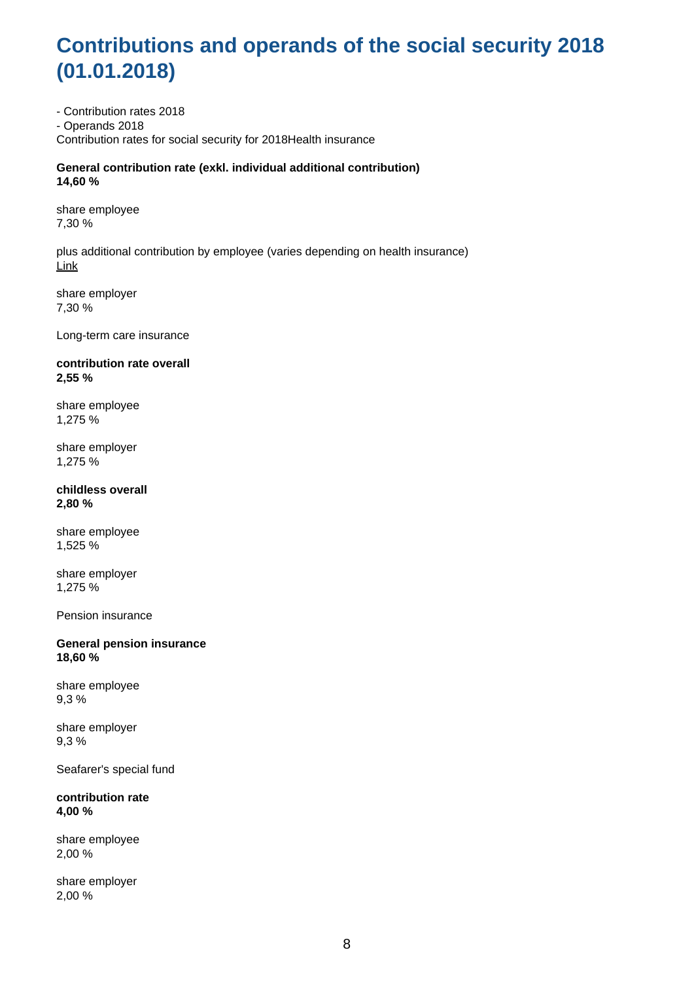# **Contributions and operands of the social security 2018 (01.01.2018)**

- Contribution rates 2018 - Operands 2018 Contribution rates for social security for 2018Health insurance

**General contribution rate (exkl. individual additional contribution) 14,60 %**

share employee 7,30 %

plus additional contribution by employee (varies depending on health insurance) [Link](https://www.gkv-spitzenverband.de/service/versicherten_service/krankenkassenliste/krankenkassen.jsp?pageNo=6#krankenkassen)

share employer 7,30 %

Long-term care insurance

#### **contribution rate overall 2,55 %**

share employee 1,275 %

share employer 1,275 %

#### **childless overall 2,80 %**

share employee 1,525 %

share employer 1,275 %

Pension insurance

**General pension insurance 18,60 %**

share employee 9,3 %

share employer 9,3 %

Seafarer's special fund

**contribution rate 4,00 %**

share employee 2,00 %

share employer 2,00 %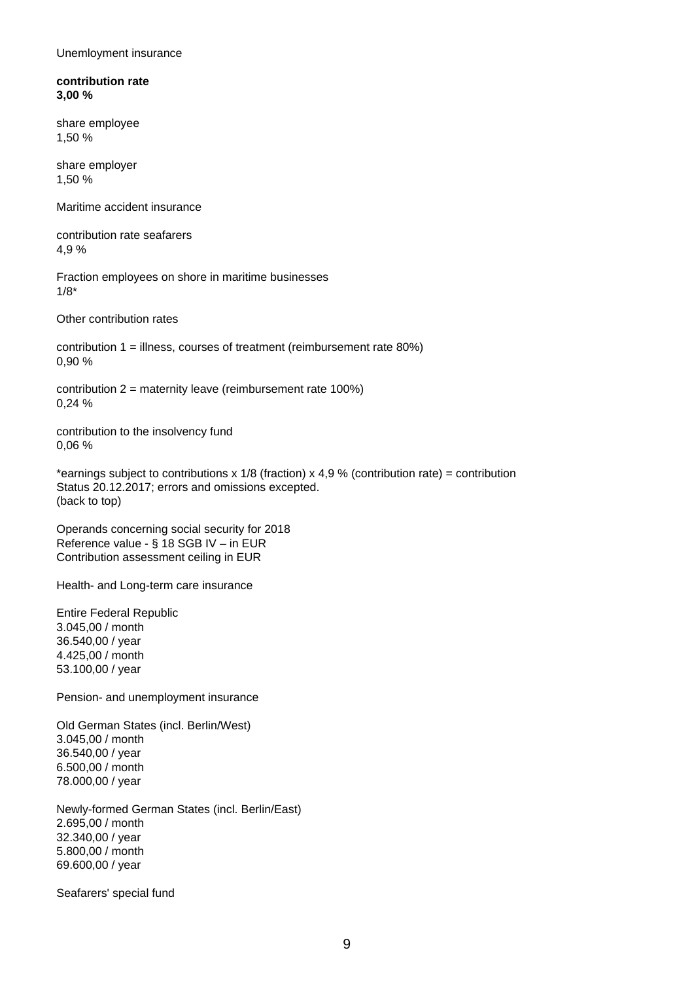Unemloyment insurance

**contribution rate 3,00 %**

share employee 1,50 %

share employer 1,50 %

Maritime accident insurance

contribution rate seafarers 4,9 %

Fraction employees on shore in maritime businesses 1/8\*

Other contribution rates

contribution 1 = illness, courses of treatment (reimbursement rate 80%) 0,90 %

contribution 2 = maternity leave (reimbursement rate 100%) 0,24 %

contribution to the insolvency fund 0,06 %

\*earnings subject to contributions x 1/8 (fraction) x 4,9 % (contribution rate) = contribution Status 20.12.2017; errors and omissions excepted. (back to top)

Operands concerning social security for 2018 Reference value - § 18 SGB IV – in EUR Contribution assessment ceiling in EUR

Health- and Long-term care insurance

Entire Federal Republic 3.045,00 / month 36.540,00 / year 4.425,00 / month 53.100,00 / year

Pension- and unemployment insurance

Old German States (incl. Berlin/West) 3.045,00 / month 36.540,00 / year 6.500,00 / month 78.000,00 / year

Newly-formed German States (incl. Berlin/East) 2.695,00 / month 32.340,00 / year 5.800,00 / month 69.600,00 / year

Seafarers' special fund